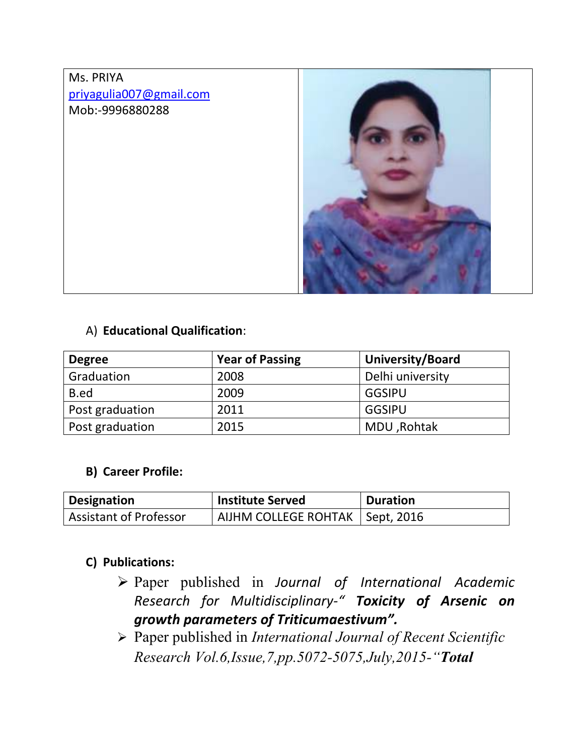# Ms. PRIYA priyagulia007@gmail.com Mob:-9996880288



#### A) **Educational Qualification**:

| <b>Degree</b>   | <b>Year of Passing</b> | University/Board |
|-----------------|------------------------|------------------|
| Graduation      | 2008                   | Delhi university |
| B.ed            | 2009                   | <b>GGSIPU</b>    |
| Post graduation | 2011                   | GGSIPU           |
| Post graduation | 2015                   | MDU, Rohtak      |

#### **B) Career Profile:**

| Designation            | <b>Institute Served</b>           | <b>Duration</b> |
|------------------------|-----------------------------------|-----------------|
| Assistant of Professor | AIJHM COLLEGE ROHTAK   Sept, 2016 |                 |

#### **C) Publications:**

- Paper published in *Journal of International Academic Research for Multidisciplinary-" Toxicity of Arsenic on growth parameters of Triticumaestivum".*
- Paper published in *International Journal of Recent Scientific Research Vol.6,Issue,7,pp.5072-5075,July,2015-"Total*